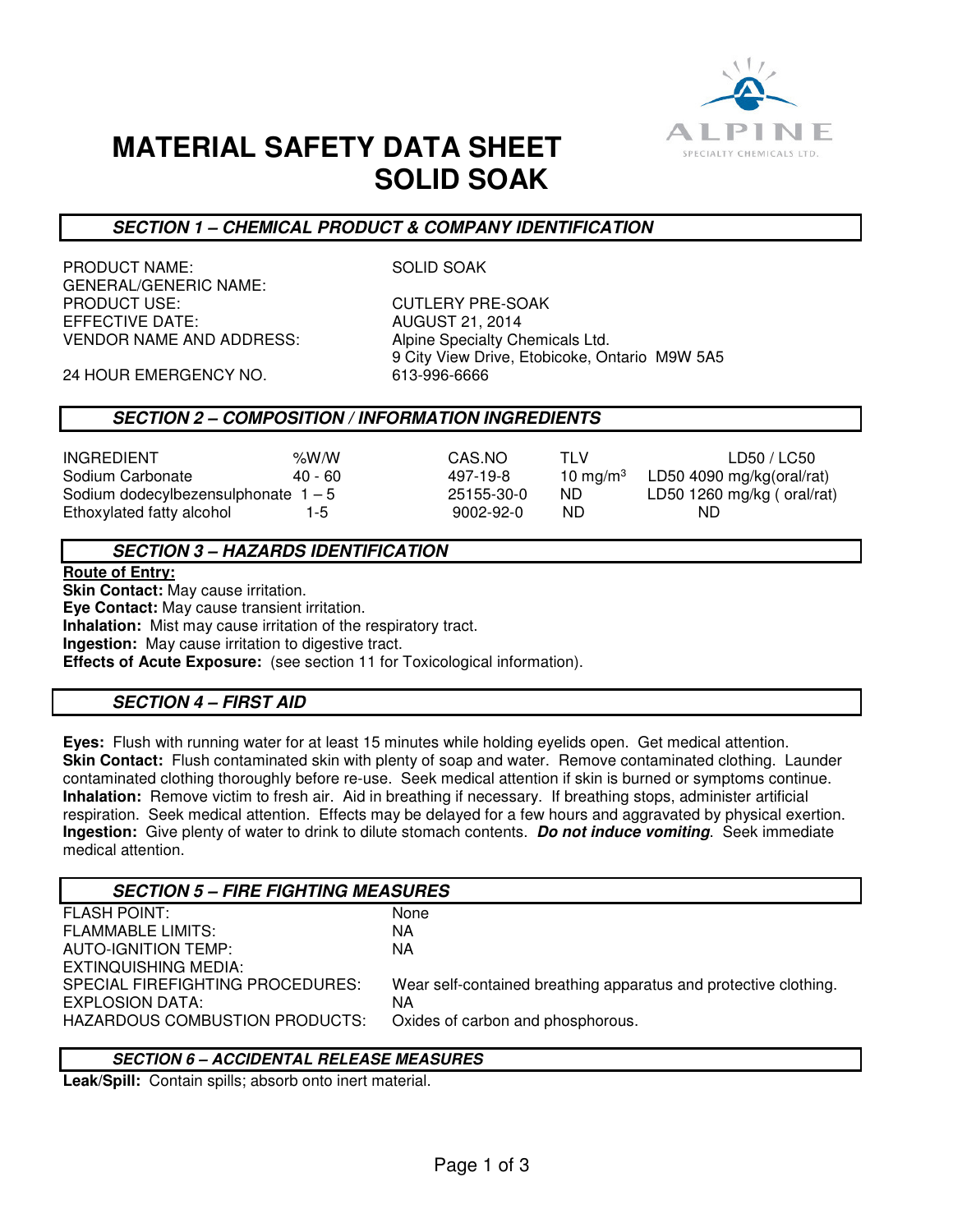

# **MATERIAL SAFETY DATA SHEET SOLID SOAK**

# **SECTION 1 – CHEMICAL PRODUCT & COMPANY IDENTIFICATION**

PRODUCT NAME: SOLID SOAK GENERAL/GENERIC NAME: PRODUCT USE: CUTLERY PRE-SOAK EFFECTIVE DATE: AUGUST 21, 2014 VENDOR NAME AND ADDRESS: Alpine Specialty Chemicals Ltd.

9 City View Drive, Etobicoke, Ontario M9W 5A5<br>613-996-6666

24 HOUR EMERGENCY NO.

## **SECTION 2 – COMPOSITION / INFORMATION INGREDIENTS**

INGREDIENT %W/W CAS.NO TLV LD50 / LC50 Sodium Carbonate  $40 - 60$   $497-19-8$  10 mg/m<sup>3</sup> Sodium dodecylbezensulphonate  $1 - 5$  25155-30-0 ND LD50 1260 mg/kg ( oral/rat) Ethoxylated fatty alcohol 1-5 9002-92-0 ND ND

LD50 4090 mg/kg(oral/rat)

## **SECTION 3 – HAZARDS IDENTIFICATION**

#### **Route of Entry:**

**Skin Contact:** May cause irritation.

**Eye Contact:** May cause transient irritation.

**Inhalation:** Mist may cause irritation of the respiratory tract.

**Ingestion:** May cause irritation to digestive tract.

**Effects of Acute Exposure:** (see section 11 for Toxicological information).

## **SECTION 4 – FIRST AID**

**Eyes:** Flush with running water for at least 15 minutes while holding eyelids open. Get medical attention. **Skin Contact:** Flush contaminated skin with plenty of soap and water. Remove contaminated clothing. Launder contaminated clothing thoroughly before re-use. Seek medical attention if skin is burned or symptoms continue. **Inhalation:** Remove victim to fresh air. Aid in breathing if necessary. If breathing stops, administer artificial respiration. Seek medical attention. Effects may be delayed for a few hours and aggravated by physical exertion. **Ingestion:** Give plenty of water to drink to dilute stomach contents. **Do not induce vomiting**. Seek immediate medical attention.

| <b>SECTION 5 – FIRE FIGHTING MEASURES</b> |                                                                  |
|-------------------------------------------|------------------------------------------------------------------|
| <b>FLASH POINT:</b>                       | None                                                             |
| <b>FLAMMABLE LIMITS:</b>                  | ΝA                                                               |
| AUTO-IGNITION TEMP:                       | NA                                                               |
| EXTINQUISHING MEDIA:                      |                                                                  |
| SPECIAL FIREFIGHTING PROCEDURES:          | Wear self-contained breathing apparatus and protective clothing. |
| EXPLOSION DATA:                           | ΝA                                                               |
| HAZARDOUS COMBUSTION PRODUCTS:            | Oxides of carbon and phosphorous.                                |
|                                           |                                                                  |

## **SECTION 6 – ACCIDENTAL RELEASE MEASURES**

**Leak/Spill:** Contain spills; absorb onto inert material.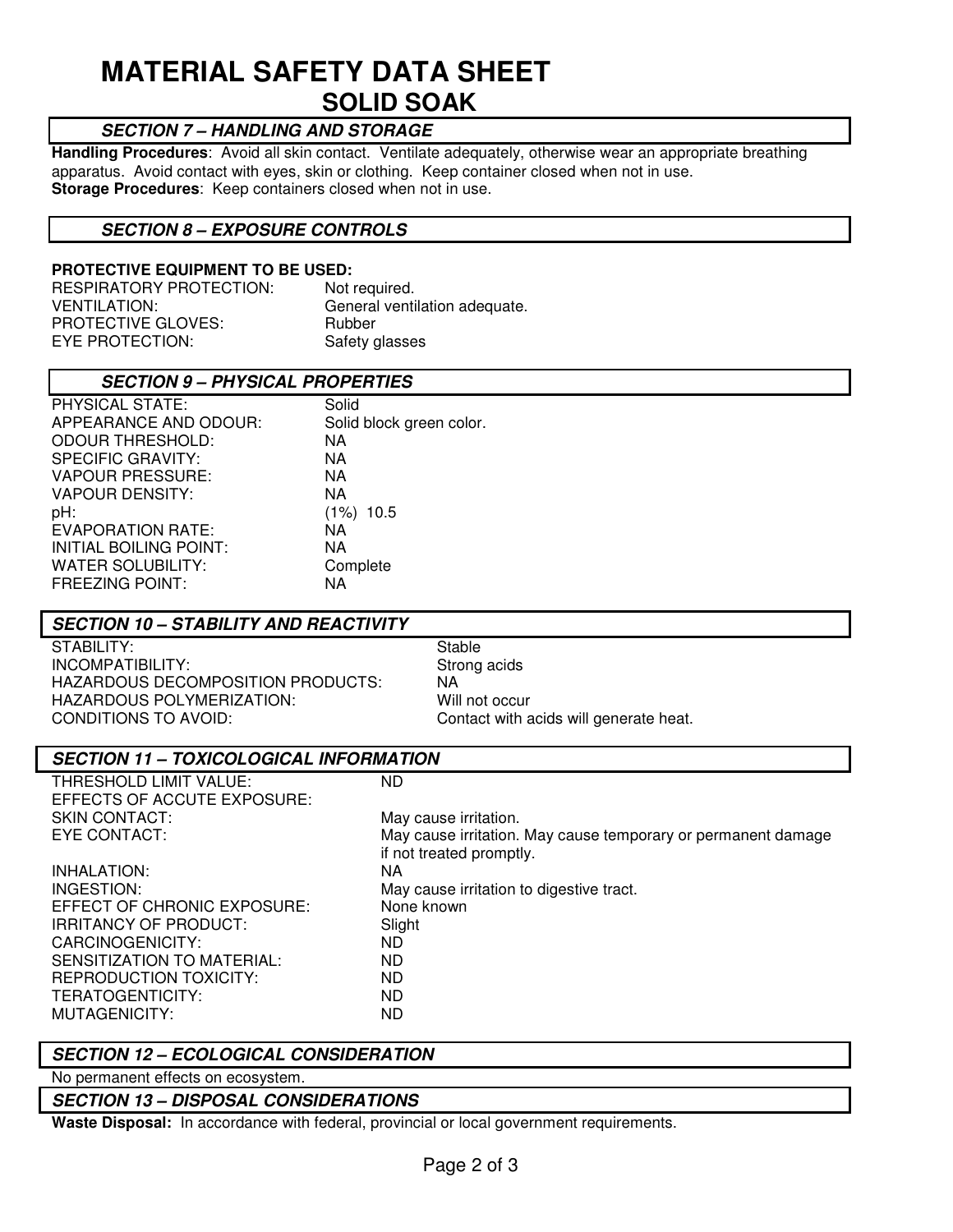# **MATERIAL SAFETY DATA SHEET SOLID SOAK**

# **SECTION 7 – HANDLING AND STORAGE**

**Handling Procedures**: Avoid all skin contact. Ventilate adequately, otherwise wear an appropriate breathing apparatus. Avoid contact with eyes, skin or clothing. Keep container closed when not in use. **Storage Procedures**: Keep containers closed when not in use.

## **SECTION 8 – EXPOSURE CONTROLS**

#### **PROTECTIVE EQUIPMENT TO BE USED:**

| RESPIRATORY PROTECTION: | Not required.                 |
|-------------------------|-------------------------------|
| VENTILATION:            | General ventilation adequate. |
| PROTECTIVE GLOVES:      | Rubber                        |
| EYE PROTECTION:         | Safety glasses                |

| <b>SECTION 9 - PHYSICAL PROPERTIES</b> |                          |
|----------------------------------------|--------------------------|
| <b>PHYSICAL STATE:</b>                 | Solid                    |
| APPEARANCE AND ODOUR:                  | Solid block green color. |
| ODOUR THRESHOLD:                       | NA.                      |
| <b>SPECIFIC GRAVITY:</b>               | NA                       |
| <b>VAPOUR PRESSURE:</b>                | NA                       |
| VAPOUR DENSITY:                        | NA                       |
| pH:                                    | (1%) 10.5                |
| EVAPORATION RATE:                      | NA                       |
| INITIAL BOILING POINT:                 | NA                       |
| WATER SOLUBILITY:                      | Complete                 |
| <b>FREEZING POINT:</b>                 | NA                       |

## **SECTION 10 – STABILITY AND REACTIVITY**

STABILITY: STABILITY: INCOMPATIBILITY: Strong acids HAZARDOUS DECOMPOSITION PRODUCTS: NA HAZARDOUS POLYMERIZATION: Will not occur<br>
CONDITIONS TO AVOID: Contact with a

Contact with acids will generate heat.

| <b>SECTION 11 - TOXICOLOGICAL INFORMATION</b> |                                                               |  |
|-----------------------------------------------|---------------------------------------------------------------|--|
| THRESHOLD LIMIT VALUE:                        | ND                                                            |  |
| EFFECTS OF ACCUTE EXPOSURE:                   |                                                               |  |
| <b>SKIN CONTACT:</b>                          | May cause irritation.                                         |  |
| EYE CONTACT:                                  | May cause irritation. May cause temporary or permanent damage |  |
|                                               | if not treated promptly.                                      |  |
| INHALATION:                                   | NA.                                                           |  |
| INGESTION:                                    | May cause irritation to digestive tract.                      |  |
| EFFECT OF CHRONIC EXPOSURE:                   | None known                                                    |  |
| IRRITANCY OF PRODUCT:                         | Slight                                                        |  |
| CARCINOGENICITY:                              | ND.                                                           |  |
| SENSITIZATION TO MATERIAL:                    | ND.                                                           |  |
| REPRODUCTION TOXICITY:                        | ND                                                            |  |
| TERATOGENTICITY:                              | ND.                                                           |  |
| MUTAGENICITY:                                 | ND                                                            |  |

## **SECTION 12 – ECOLOGICAL CONSIDERATION**

No permanent effects on ecosystem.

## **SECTION 13 – DISPOSAL CONSIDERATIONS**

**Waste Disposal:** In accordance with federal, provincial or local government requirements.